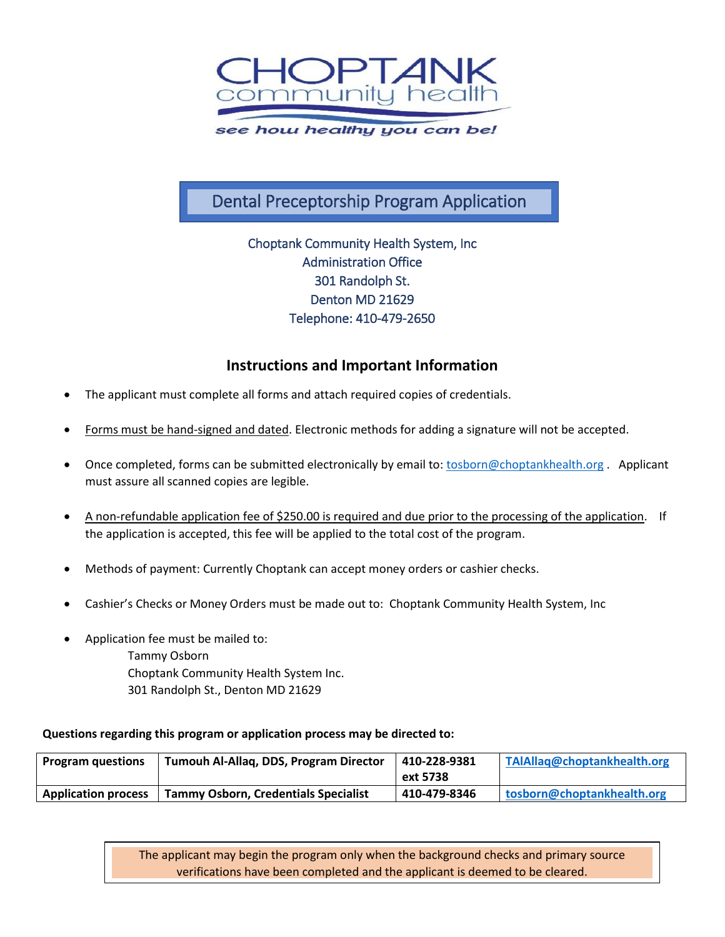

## Dental Preceptorship Program Application

Choptank Community Health System, Inc Administration Office 301 Randolph St. Denton MD 21629 Telephone: 410-479-2650

## **Instructions and Important Information**

- The applicant must complete all forms and attach required copies of credentials.
- Forms must be hand-signed and dated. Electronic methods for adding a signature will not be accepted.
- Once completed, forms can be submitted electronically by email to: [tosborn@choptankhealth.org](mailto:tosborn@choptankhealth.org) . Applicant must assure all scanned copies are legible.
- A non-refundable application fee of \$250.00 is required and due prior to the processing of the application. If the application is accepted, this fee will be applied to the total cost of the program.
- Methods of payment: Currently Choptank can accept money orders or cashier checks.
- Cashier's Checks or Money Orders must be made out to: Choptank Community Health System, Inc
- Application fee must be mailed to: Tammy Osborn Choptank Community Health System Inc. 301 Randolph St., Denton MD 21629

#### **Questions regarding this program or application process may be directed to:**

| <b>Program questions</b>   | Tumouh Al-Allag, DDS, Program Director      | 410-228-9381 | TAIAllaq@choptankhealth.org |
|----------------------------|---------------------------------------------|--------------|-----------------------------|
|                            |                                             | ext 5738     |                             |
| <b>Application process</b> | <b>Tammy Osborn, Credentials Specialist</b> | 410-479-8346 | Itosborn@choptankhealth.org |

The applicant may begin the program only when the background checks and primary source verifications have been completed and the applicant is deemed to be cleared.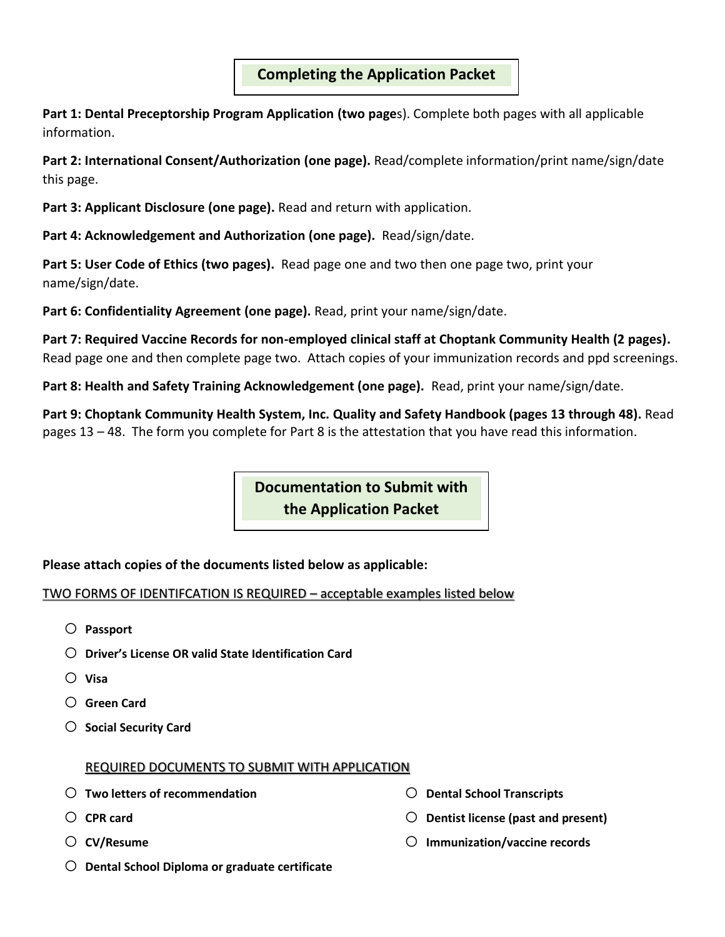## **Completing the Application Packet**

**Part 1: Dental Preceptorship Program Application (two page**s). Complete both pages with all applicable information.

**Part 2: International Consent/Authorization (one page).** Read/complete information/print name/sign/date this page.

**Part 3: Applicant Disclosure (one page).** Read and return with application.

**Part 4: Acknowledgement and Authorization (one page).** Read/sign/date.

**Part 5: User Code of Ethics (two pages).** Read page one and two then one page two, print your name/sign/date.

**Part 6: Confidentiality Agreement (one page).** Read, print your name/sign/date.

**Part 7: Required Vaccine Records for non-employed clinical staff at Choptank Community Health (2 pages).** Read page one and then complete page two. Attach copies of your immunization records and ppd screenings.

**Part 8: Health and Safety Training Acknowledgement (one page).** Read, print your name/sign/date.

**Part 9: Choptank Community Health System, Inc. Quality and Safety Handbook (pages 13 through 48).** Read pages 13 – 48. The form you complete for Part 8 is the attestation that you have read this information.

> **Documentation to Submit with the Application Packet**

## **Please attach copies of the documents listed below as applicable:**

## TWO FORMS OF IDENTIFCATION IS REQUIRED – acceptable examples listed below

- o **Passport**
- o **Driver's License OR valid State Identification Card**
- o **Visa**
- o **Green Card**
- o **Social Security Card**

#### REQUIRED DOCUMENTS TO SUBMIT WITH APPLICATION

- o **Two letters of recommendation**
- o **CPR card**
- o **CV/Resume**
- o **Dental School Diploma or graduate certificate**
- o **Dental School Transcripts**
- o **Dentist license (past and present)**
- o **Immunization/vaccine records**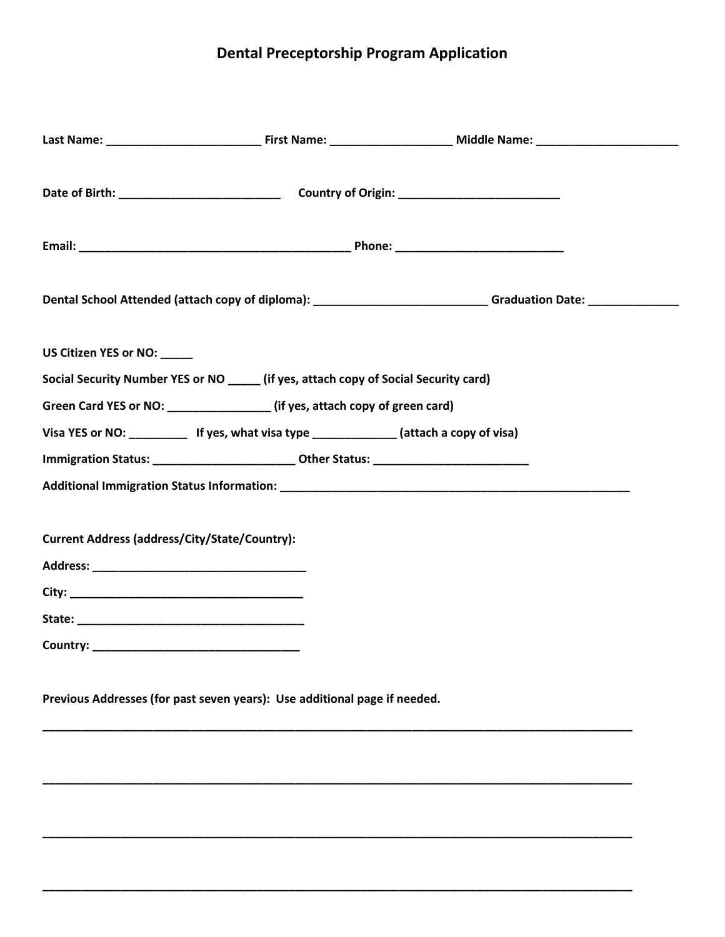# **Dental Preceptorship Program Application**

|                             |                                                                                              | Dental School Attended (attach copy of diploma): _____________________________Graduation Date: _______________ |  |
|-----------------------------|----------------------------------------------------------------------------------------------|----------------------------------------------------------------------------------------------------------------|--|
| US Citizen YES or NO: _____ |                                                                                              |                                                                                                                |  |
|                             | Social Security Number YES or NO _____ (if yes, attach copy of Social Security card)         |                                                                                                                |  |
|                             | Green Card YES or NO: _________________(if yes, attach copy of green card)                   |                                                                                                                |  |
|                             | Visa YES or NO: _____________ If yes, what visa type ________________(attach a copy of visa) |                                                                                                                |  |
|                             | Immigration Status: ___________________________Other Status: ____________________            |                                                                                                                |  |
|                             |                                                                                              |                                                                                                                |  |
|                             | Current Address (address/City/State/Country):                                                |                                                                                                                |  |
|                             |                                                                                              |                                                                                                                |  |
|                             |                                                                                              |                                                                                                                |  |
|                             |                                                                                              |                                                                                                                |  |
|                             | Previous Addresses (for past seven years): Use additional page if needed.                    |                                                                                                                |  |

**\_\_\_\_\_\_\_\_\_\_\_\_\_\_\_\_\_\_\_\_\_\_\_\_\_\_\_\_\_\_\_\_\_\_\_\_\_\_\_\_\_\_\_\_\_\_\_\_\_\_\_\_\_\_\_\_\_\_\_\_\_\_\_\_\_\_\_\_\_\_\_\_\_\_\_\_\_\_\_\_\_\_\_\_\_\_\_\_\_\_\_**

**\_\_\_\_\_\_\_\_\_\_\_\_\_\_\_\_\_\_\_\_\_\_\_\_\_\_\_\_\_\_\_\_\_\_\_\_\_\_\_\_\_\_\_\_\_\_\_\_\_\_\_\_\_\_\_\_\_\_\_\_\_\_\_\_\_\_\_\_\_\_\_\_\_\_\_\_\_\_\_\_\_\_\_\_\_\_\_\_\_\_\_**

**\_\_\_\_\_\_\_\_\_\_\_\_\_\_\_\_\_\_\_\_\_\_\_\_\_\_\_\_\_\_\_\_\_\_\_\_\_\_\_\_\_\_\_\_\_\_\_\_\_\_\_\_\_\_\_\_\_\_\_\_\_\_\_\_\_\_\_\_\_\_\_\_\_\_\_\_\_\_\_\_\_\_\_\_\_\_\_\_\_\_\_**